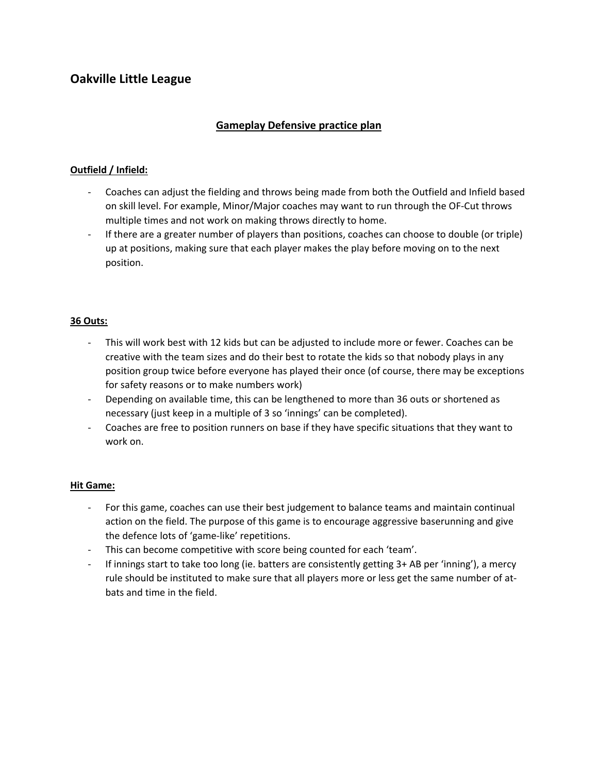# **Oakville Little League**

## **Gameplay Defensive practice plan**

### **Outfield / Infield:**

- Coaches can adjust the fielding and throws being made from both the Outfield and Infield based on skill level. For example, Minor/Major coaches may want to run through the OF-Cut throws multiple times and not work on making throws directly to home.
- If there are a greater number of players than positions, coaches can choose to double (or triple) up at positions, making sure that each player makes the play before moving on to the next position.

### **36 Outs:**

- This will work best with 12 kids but can be adjusted to include more or fewer. Coaches can be creative with the team sizes and do their best to rotate the kids so that nobody plays in any position group twice before everyone has played their once (of course, there may be exceptions for safety reasons or to make numbers work)
- Depending on available time, this can be lengthened to more than 36 outs or shortened as necessary (just keep in a multiple of 3 so 'innings' can be completed).
- Coaches are free to position runners on base if they have specific situations that they want to work on.

### **Hit Game:**

- For this game, coaches can use their best judgement to balance teams and maintain continual action on the field. The purpose of this game is to encourage aggressive baserunning and give the defence lots of 'game-like' repetitions.
- This can become competitive with score being counted for each 'team'.
- If innings start to take too long (ie. batters are consistently getting 3+ AB per 'inning'), a mercy rule should be instituted to make sure that all players more or less get the same number of atbats and time in the field.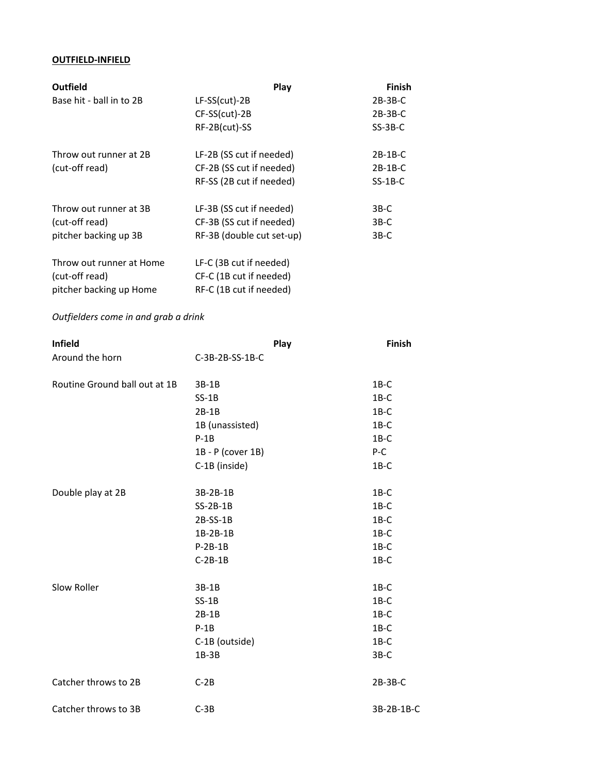### **OUTFIELD‐INFIELD**

| <b>Outfield</b>          | Play                      | <b>Finish</b> |
|--------------------------|---------------------------|---------------|
| Base hit - ball in to 2B | $LF-SS(cut)-2B$           | $2B-3B-C$     |
|                          | $CF-SS(cut)-2B$           | $2B-3B-C$     |
|                          | RF-2B(cut)-SS             | $SS-3B-C$     |
| Throw out runner at 2B   | LF-2B (SS cut if needed)  | $2B-1B-C$     |
| (cut-off read)           | CF-2B (SS cut if needed)  | $2B-1B-C$     |
|                          | RF-SS (2B cut if needed)  | $SS-1B-C$     |
| Throw out runner at 3B   | LF-3B (SS cut if needed)  | $3B-C$        |
| (cut-off read)           | CF-3B (SS cut if needed)  | $3B-C$        |
| pitcher backing up 3B    | RF-3B (double cut set-up) | $3B-C$        |
| Throw out runner at Home | LF-C (3B cut if needed)   |               |
| (cut-off read)           | CF-C (1B cut if needed)   |               |
| pitcher backing up Home  | RF-C (1B cut if needed)   |               |

### *Outfielders come in and grab a drink*

| <b>Infield</b>                | Play              |         | <b>Finish</b> |
|-------------------------------|-------------------|---------|---------------|
| Around the horn               | C-3B-2B-SS-1B-C   |         |               |
| Routine Ground ball out at 1B | 3B-1B             | $1B-C$  |               |
|                               | $SS-1B$           | $1B-C$  |               |
|                               | $2B-1B$           | $1B-C$  |               |
|                               | 1B (unassisted)   | $1B-C$  |               |
|                               | $P-1B$            | $1B-C$  |               |
|                               | 1B - P (cover 1B) | P-C     |               |
|                               | C-1B (inside)     | $1B-C$  |               |
| Double play at 2B             | 3B-2B-1B          | $1B-C$  |               |
|                               | $SS-2B-1B$        | $1B-C$  |               |
|                               | $2B-SS-1B$        | $1B-C$  |               |
|                               | 1B-2B-1B          | $1B-C$  |               |
|                               | $P-2B-1B$         | $1B-C$  |               |
|                               | $C-2B-1B$         | $1B-C$  |               |
| Slow Roller                   | $3B-1B$           | $1B-C$  |               |
|                               | $SS-1B$           | $1B-C$  |               |
|                               | $2B-1B$           | $1B-C$  |               |
|                               | $P-1B$            | $1B-C$  |               |
|                               | C-1B (outside)    | $1B-C$  |               |
|                               | $1B-3B$           | $3B-C$  |               |
| Catcher throws to 2B          | $C-2B$            | 2B-3B-C |               |
| Catcher throws to 3B          | $C-3B$            |         | 3B-2B-1B-C    |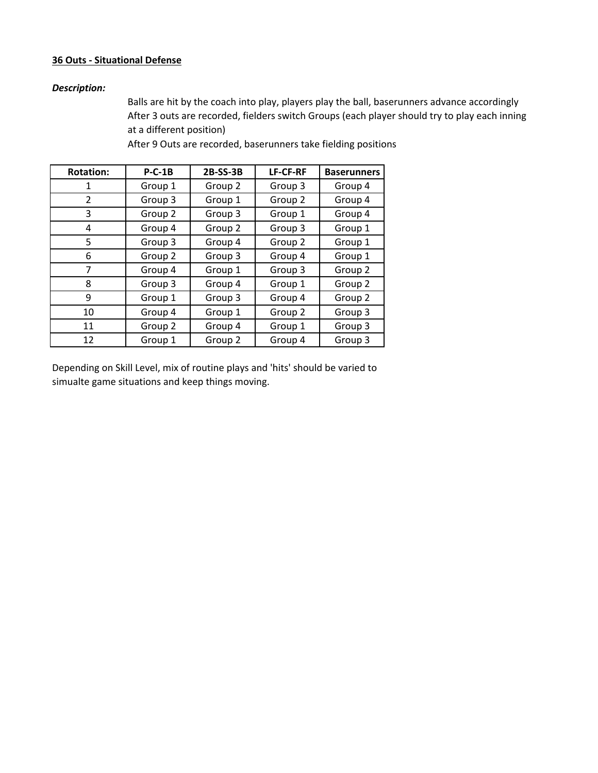#### **36 Outs ‐ Situational Defense**

### *Description:*

After 3 outs are recorded, fielders switch Groups (each player should try to play each inning at a different position) Balls are hit by the coach into play, players play the ball, baserunners advance accordingly

| <b>Rotation:</b> | $P-C-1B$ | 2B-SS-3B | <b>LF-CF-RF</b> | <b>Baserunners</b> |
|------------------|----------|----------|-----------------|--------------------|
| 1                | Group 1  | Group 2  | Group 3         | Group 4            |
| $\overline{2}$   | Group 3  | Group 1  | Group 2         | Group 4            |
| 3                | Group 2  | Group 3  | Group 1         | Group 4            |
| 4                | Group 4  | Group 2  | Group 3         | Group 1            |
| 5                | Group 3  | Group 4  | Group 2         | Group 1            |
| 6                | Group 2  | Group 3  | Group 4         | Group 1            |
| 7                | Group 4  | Group 1  | Group 3         | Group 2            |
| 8                | Group 3  | Group 4  | Group 1         | Group 2            |
| 9                | Group 1  | Group 3  | Group 4         | Group 2            |
| 10               | Group 4  | Group 1  | Group 2         | Group 3            |
| 11               | Group 2  | Group 4  | Group 1         | Group 3            |
| 12               | Group 1  | Group 2  | Group 4         | Group 3            |

After 9 Outs are recorded, baserunners take fielding positions

Depending on Skill Level, mix of routine plays and 'hits' should be varied to simualte game situations and keep things moving.